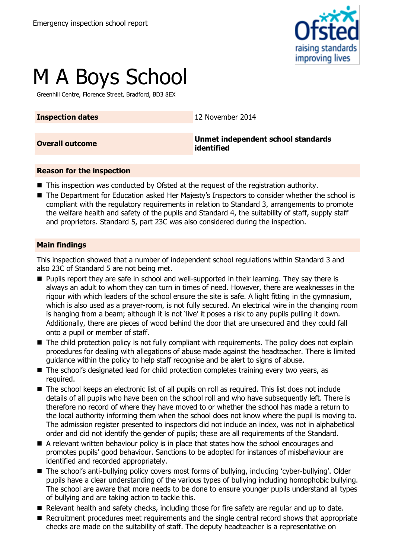

# M A Boys School

Greenhill Centre, Florence Street, Bradford, BD3 8EX

**Inspection dates** 12 November 2014

**Overall outcome Unmet independent school standards identified**

#### **Reason for the inspection**

- This inspection was conducted by Ofsted at the request of the registration authority.
- The Department for Education asked Her Majesty's Inspectors to consider whether the school is compliant with the regulatory requirements in relation to Standard 3, arrangements to promote the welfare health and safety of the pupils and Standard 4, the suitability of staff, supply staff and proprietors. Standard 5, part 23C was also considered during the inspection.

#### **Main findings**

This inspection showed that a number of independent school regulations within Standard 3 and also 23C of Standard 5 are not being met.

- **Pupils report they are safe in school and well-supported in their learning. They say there is** always an adult to whom they can turn in times of need. However, there are weaknesses in the rigour with which leaders of the school ensure the site is safe. A light fitting in the gymnasium, which is also used as a prayer-room, is not fully secured. An electrical wire in the changing room is hanging from a beam; although it is not 'live' it poses a risk to any pupils pulling it down. Additionally, there are pieces of wood behind the door that are unsecured and they could fall onto a pupil or member of staff.
- The child protection policy is not fully compliant with requirements. The policy does not explain procedures for dealing with allegations of abuse made against the headteacher. There is limited guidance within the policy to help staff recognise and be alert to signs of abuse.
- The school's designated lead for child protection completes training every two vears, as required.
- The school keeps an electronic list of all pupils on roll as required. This list does not include details of all pupils who have been on the school roll and who have subsequently left. There is therefore no record of where they have moved to or whether the school has made a return to the local authority informing them when the school does not know where the pupil is moving to. The admission register presented to inspectors did not include an index, was not in alphabetical order and did not identify the gender of pupils; these are all requirements of the Standard.
- A relevant written behaviour policy is in place that states how the school encourages and promotes pupils' good behaviour. Sanctions to be adopted for instances of misbehaviour are identified and recorded appropriately.
- The school's anti-bullying policy covers most forms of bullying, including 'cyber-bullying'. Older pupils have a clear understanding of the various types of bullying including homophobic bullying. The school are aware that more needs to be done to ensure younger pupils understand all types of bullying and are taking action to tackle this.
- Relevant health and safety checks, including those for fire safety are regular and up to date.
- Recruitment procedures meet requirements and the single central record shows that appropriate checks are made on the suitability of staff. The deputy headteacher is a representative on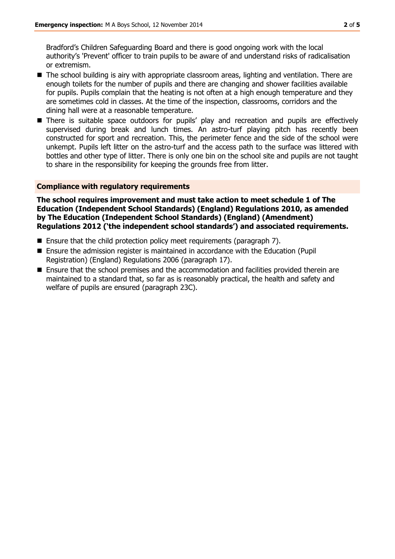Bradford's Children Safeguarding Board and there is good ongoing work with the local authority's 'Prevent' officer to train pupils to be aware of and understand risks of radicalisation or extremism.

- The school building is airy with appropriate classroom areas, lighting and ventilation. There are enough toilets for the number of pupils and there are changing and shower facilities available for pupils. Pupils complain that the heating is not often at a high enough temperature and they are sometimes cold in classes. At the time of the inspection, classrooms, corridors and the dining hall were at a reasonable temperature.
- There is suitable space outdoors for pupils' play and recreation and pupils are effectively supervised during break and lunch times. An astro-turf playing pitch has recently been constructed for sport and recreation. This, the perimeter fence and the side of the school were unkempt. Pupils left litter on the astro-turf and the access path to the surface was littered with bottles and other type of litter. There is only one bin on the school site and pupils are not taught to share in the responsibility for keeping the grounds free from litter.

#### **Compliance with regulatory requirements**

**The school requires improvement and must take action to meet schedule 1 of The Education (Independent School Standards) (England) Regulations 2010, as amended by The Education (Independent School Standards) (England) (Amendment) Regulations 2012 ('the independent school standards') and associated requirements.**

- Ensure that the child protection policy meet requirements (paragraph 7).
- Ensure the admission register is maintained in accordance with the Education (Pupil Registration) (England) Regulations 2006 (paragraph 17).
- Ensure that the school premises and the accommodation and facilities provided therein are maintained to a standard that, so far as is reasonably practical, the health and safety and welfare of pupils are ensured (paragraph 23C).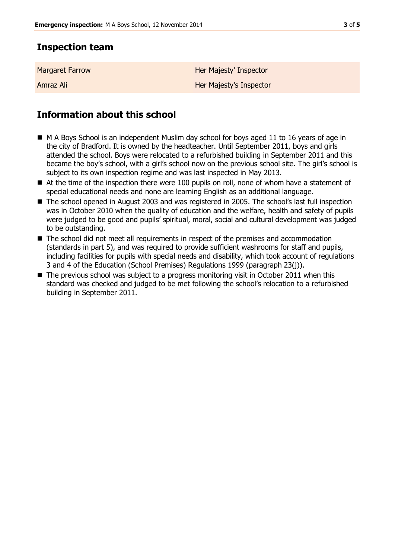## **Inspection team**

| <b>Margaret Farrow</b> | Her Majesty' Inspector  |
|------------------------|-------------------------|
| Amraz Ali              | Her Majesty's Inspector |

# **Information about this school**

- M A Boys School is an independent Muslim day school for boys aged 11 to 16 years of age in the city of Bradford. It is owned by the headteacher. Until September 2011, boys and girls attended the school. Boys were relocated to a refurbished building in September 2011 and this became the boy's school, with a girl's school now on the previous school site. The girl's school is subject to its own inspection regime and was last inspected in May 2013.
- At the time of the inspection there were 100 pupils on roll, none of whom have a statement of special educational needs and none are learning English as an additional language.
- The school opened in August 2003 and was registered in 2005. The school's last full inspection was in October 2010 when the quality of education and the welfare, health and safety of pupils were judged to be good and pupils' spiritual, moral, social and cultural development was judged to be outstanding.
- The school did not meet all requirements in respect of the premises and accommodation (standards in part 5), and was required to provide sufficient washrooms for staff and pupils, including facilities for pupils with special needs and disability, which took account of regulations 3 and 4 of the Education (School Premises) Regulations 1999 (paragraph 23(j)).
- The previous school was subject to a progress monitoring visit in October 2011 when this standard was checked and judged to be met following the school's relocation to a refurbished building in September 2011.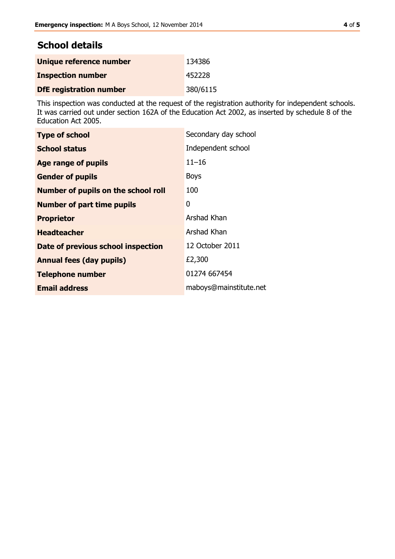## **School details**

| Unique reference number        | 134386   |
|--------------------------------|----------|
| <b>Inspection number</b>       | 452228   |
| <b>DfE registration number</b> | 380/6115 |

This inspection was conducted at the request of the registration authority for independent schools. It was carried out under section 162A of the Education Act 2002, as inserted by schedule 8 of the Education Act 2005.

| <b>Type of school</b>                      | Secondary day school   |
|--------------------------------------------|------------------------|
| <b>School status</b>                       | Independent school     |
| Age range of pupils                        | $11 - 16$              |
| <b>Gender of pupils</b>                    | <b>Boys</b>            |
| <b>Number of pupils on the school roll</b> | 100                    |
| <b>Number of part time pupils</b>          | 0                      |
| <b>Proprietor</b>                          | Arshad Khan            |
| <b>Headteacher</b>                         | Arshad Khan            |
| Date of previous school inspection         | 12 October 2011        |
| <b>Annual fees (day pupils)</b>            | £2,300                 |
| <b>Telephone number</b>                    | 01274 667454           |
| <b>Email address</b>                       | maboys@mainstitute.net |